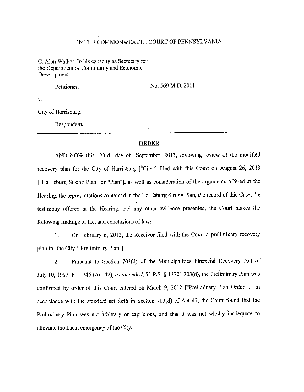## IN THE COMMONWEALTH COURT OF PENNSYLVANIA

| C. Alan Walker, In his capacity as Secretary for<br>the Department of Community and Economic<br>Development, |                   |
|--------------------------------------------------------------------------------------------------------------|-------------------|
| Petitioner,                                                                                                  | No. 569 M.D. 2011 |
| ٧.                                                                                                           |                   |
| City of Harrisburg,                                                                                          |                   |
| Respondent.                                                                                                  |                   |

## **ORDER**

AND NOW this 23rd day of September, 2013, following review of the modified recovery plan for the City of Harrisburg ["City"] filed with this Court on August 26, 2013 ["Harrisburg Strong Plan" or "Plan"], as well as consideration of the arguments offered at the Hearing, the representations contained in the Harrisburg Strong Plan, the record of this Case, the testimony offered at the Hearing, and any other evidence presented, the Court makes the following findings of fact and conclusions of law:

I. On February 6, 2012, the Receiver filed with the Court a preliminary recovery plan for the City ["Preliminary Plan"].

2. Pursuant to Section 703(d) of the Municipalities Financial Recovery Act of July 10, 1987, P.L. 246 (Act 47), *as amended,* 53 P.S. § 11701.703(d), the Preliminary Plan was confirmed by order of this Court entered on March 9, 2012 ["Preliminary Plan Order"]. In accordance with the standard set forth in Section 703(d) of Act 47, the Court found that the Preliminary Plan was not arbitrary or capricious, and that it was not wholly inadequate to alleviate the fiscal emergency of the City.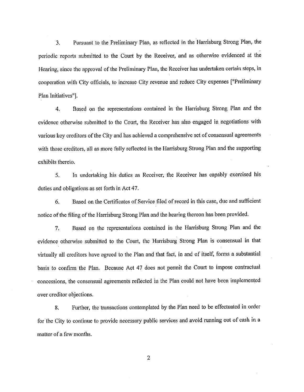3. Pursuant to the Preliminary Plan, as reflected in the Harrisburg Strong Plan, the periodic reports submitted to the Court by the Receiver, and as otherwise evidenced at the Hearing, since the approval of the Preliminary Plan, the Receiver has undertaken certain steps, in cooperation with City officials, to increase City revenue and reduce City expenses ["Preliminary Plan Initiatives"].

4. Based on the representations contained in the Harrisburg Strong Plan and the evidence otherwise submitted to the Court, the Receiver has also engaged in negotiations with various key creditors of the City and has achieved a comprehensive set of consensual agreements with those creditors, all as more fully reflected in the Harrisburg Strong Plan and the supporting exhibits thereto.

5. In undertaking his duties as Receiver, the Receiver has capably exercised his duties and obligations as set forth in Act 47.

6. Based on the Certificates of Service filed of record in this case, due and sufficient notice of the filing of the Harrisburg Strong Plan and the hearing thereon has been provided.

7. Based on the representations contained in the Harrisburg Strong Plan and the evidence otherwise submitted to the Court, the Harrisburg Strong Plan is consensual in that virtually all creditors have agreed to the Plan and that fact, in and of itself, forms a substantial basis to confirm the Plan. Because Act 47 does not pennit the Court to impose contractual concessions, the consensual agreements re11ected in the Plan could not have been implemented over creditor objections.

8. Further, the transactions contemplated by the Plan need to be effectuated in order for the City to continue to provide necessary public services and avoid running out of cash in a matter of a few months.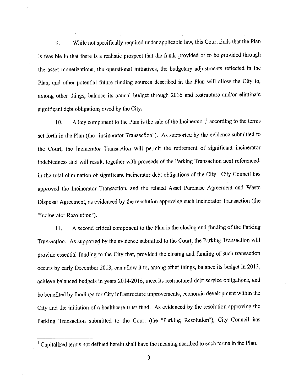9. While not specifically required under applicable law, this Court finds that the Plan is feasible in that there is a realistic prospect that the funds provided or to be provided through the asset monetizations, the operational initiatives, the budgetary adjustments reflected in the Plan, and other potential future funding sources described in the Plan will allow the City to, among other things, balance its annual budget through 2016 and restructure and/or eliminate significant debt obligations owed by the City.

10. A key component to the Plan is the sale of the Incinerator,<sup>1</sup> according to the terms set forth in the Plan (the "Incinerator Transaction"). As supported by the evidence submitted to the Court, the Incinerator Transaction will permit the retirement of significant incinerator indebtedness and will result, together with proceeds of the Parking Transaction next referenced, in the total elimination of significant Incinerator debt obligations of the City. City Council has approved the Incinerator Transaction, and the related Asset Purchase Agreement and Waste Disposal Agreement, as evidenced by the resolution approving such Incinerator Transaction (the "Incinerator Resolution").

11. A second critical component to the Plan is the closing and funding of the Parking Transaction. As supported by the evidence submitted to the Court, the Parking Transaction will provide essential funding to the City that, provided the closing and funding of such transaction occurs by early December 2013, can allow it to, among other things, balance its budget in 2013, achieve balanced budgets in years 2014-2016, meet its restructured debt service obligations, and be benefited by fundings for City infrastructure improvements, economic development within the City and the initiation of a healthcare trust fund. As evidenced by the resolution approving the Parking Transaction submitted to the Court (the "Parking Resolution"), City Council has

<sup>&</sup>lt;sup>1</sup> Capitalized terms not defined herein shall have the meaning ascribed to such terms in the Plan.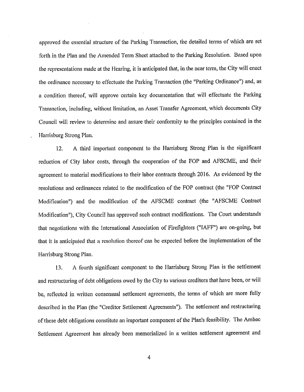approved the essential structure of the Parking Transaction, the detailed terms of which are set forth in the Plan and the Amended Term Sheet attached to the Parking Resolution. Based upon the representations made at the Hearing, it is anticipated that, in the near term, the City will enact the ordinance necessary to effectuate the Parking Transaction (the "Parking Ordinance") and, as a condition thereof, will approve certain key documentation that will effectuate the Parking Transaction, including, without limitation, an Asset Transfer Agreement, which documents City Council will review to determine and assure their conformity to the principles contained in the Harrisburg Strong Plan.

12. A third important component to the Harrisburg Strong Plan is the significant reduction of City labor costs, through the cooperation of the FOP and AFSCME, and their agreement to material modifications to their labor contracts through 2016. As evidenced by the resolutions and ordinances related to the modification of the FOP contract (the "FOP Contract Modification") and the modification of the AFSCME contract (the "AFSCME Contract Modification"), City Council has approved such contract modifications. The Court understands that negotiations with the International Association of Firefighters ("JAFF") are on-going, but that it is anticipated that a resolution thereof can be expected before the implementation of the Harrisburg Strong Plan.

13. A fourth significant component to the Harrisburg Strong Plan is the settlement and restructuring of debt obligations owed by the City to various creditors that have been, or will be, reflected in written consensual settlement agreements, the terms of which are more fully described in the Plan (the "Creditor Settlement Agreements"). The settlement and restructuring of these debt obligations constitute an important component ofthe Plan's feasibility. The Ambac Settlement Agreement has already been memorialized in a written settlement agreement and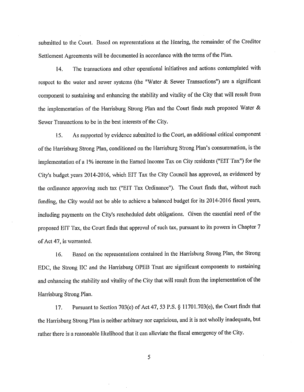submitted to the Court. Based on representations at the Hearing, the remainder of the Creditor Settlement Agreements will be documented in accordance with the terms of the Plan.

14. The transactions and other operational initiatives and actions contemplated with respect to the water and sewer systems (the "Water & Sewer Transactions") are a significant component to sustaining and enhancing the stability and vitality of the City that will result from the implementation of the Harrisburg Strong Plan and the Court finds such proposed Water & Sewer Transactions to be in the best interests of the City.

15. As supported by evidence submitted to the Court, an additional critical component of the Harrisburg Strong Plan, conditioned on the Harrisburg Strong Plan's consummation, is the implementation of a 1% increase in the Earned Income Tax on City residents ("EIT Tax") for the City's budget years 2014-2016, which EIT Tax the City Council has approved, as evidenced by the ordinance approving such tax ("EIT Tax Ordinance"). The Comt finds that, without such funding, the City would not be able to achieve a balanced budget for its 2014-2016 fiscal years, including payments on the City's rescheduled debt obligations. Given the essential need of the proposed EIT Tax, the Court finds that approval of such tax, pursuant to its powers in Chapter 7 ofAct 47, is warranted.

16. Based on the representations contained in the Harrisburg Strong Plan, the Strong EDC, the Strong UC and the Harrisburg OPEB Trust arc significant components to sustaining and enhancing the stability and vitality of the City that will result from the implementation of the Harrisburg Strong Plan.

17. Pursuant to Section 703(e) of Act 47, 53 P.S. § 11701.703(e), the Court finds that the Harrisburg Strong Plan is neither arbitrary nor capricious, and it is not wholly inadequate, but rather there is a reasonable likelihood that it can alleviate the fiscal emergency of the City.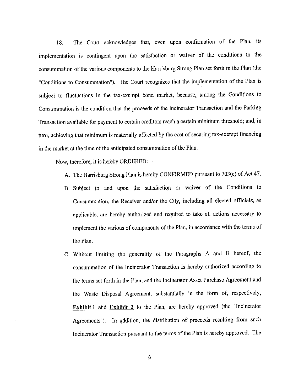18. The Court acknowledges that, even upon confirmation of the Plan, its implementation is contingent upon the satisfaction or waiver of the conditions to the consummation of the various components to the Harrisburg Strong Plan set forth in the Plan (the "Conditions to Consummation"). The Court recognizes that the implementation of the Plan is subject to fluctuations in the tax-exempt bond market, because, among the Conditions to Consummation is the condition that the proceeds of the Incinerator Transaction and the Parking Transaction available for payment to certain creditors reach a certain minimum threshold; and, in turn, achieving that minimum is materially affected by the cost of securing tax-exempt financing in the market at the time of the anticipated consummation of the Plan.

Now, therefore, it is hereby ORDERED:

- A. The Harrisburg Strong Plan is hereby CONFIRMED pursuant to 703(e) of Act 47.
- B. Subject to and upon the satisfaction or waiver of the Conditions to Consummation, the Receiver and/or the City, including all elected officials, as applicable, are hereby authorized and required to take all actions necessary to implement the various of components of the Plan, in accordance with the tenns of the Plan.
- C. Without limiting the generality of the Paragraphs A and B hereof, the consummation of the Incinerator Transaction is hereby authorized according to the terms set forth in the Plan, and the Incinerator Asset Purchase Agreement and the Waste Disposal Agreement, substantially in the fonn of, respectively, **Exhibit 1** and **Exhibit 2** to the Plan, are hereby approved (the "Incinerator Agreements"). In addition, the distribution of proceeds resulting from such Incinerator Transaction pursuant to the terms of the Plan is hereby approved. The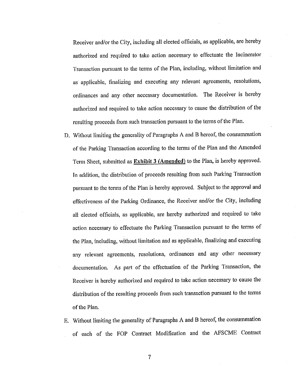Receiver and/or the City, including all elected officials, as applicable, are hereby authorized and required to take action necessary to effectuate the Incinerator Transaction pursuant to the terms of the Plan, including, without limitation and as applicable, finalizing and executing any relevant agreements, resolutions, ordinances and any other necessary documentation. The Receiver is hereby authorized and required to take action necessary to cause the distribution of the resulting proceeds from such transaction pursuant to the terms of the Plan.

- D. Without limiting the generality of Paragraphs A and B hereof, the consummation of the Parking Transaction according to the terms of the Plan and the Amended Tenn Sheet, submitted as **Exhibit 3 (Amended)** to the Plan, is hereby approved. In addition, the distribution of proceeds resulting from such Parking Transaction pursuant to the tenns of the Plan is hereby approved. Subject to the approval and effectiveness of the Parking Ordinance, the Receiver and/or the City, including all elected officials, as applicable, are hereby authorized and required to take action necessary to effectuate the Parking Transaction pursuant to the terms of the Plan, including, without limitation and as applicable, finalizing and executing any relevant agreements, resolutions, ordinances and any other necessary documentation. As part of the effectuation of the Parking Transaction, the Receiver is hereby authorized and required to take action necessary to cause the distribution of the resulting proceeds from such transaction pursuant to the terms of the Plan,
- E. Without limiting the generality of Paragraphs A and B hereof, the consummation of each of the FOP Contract Modification and the AFSCME Contract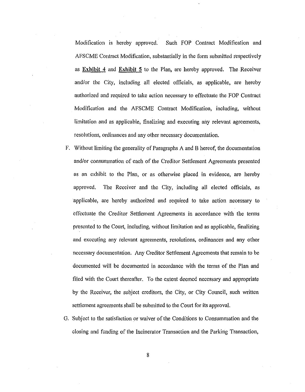Modification is hereby approved. Such FOP Contract Modification and AFSCME Contract Modification, substantially in the form submitted respectively as **Exhibit 4** and **Exhibit 5** to the Plan, are hereby approved. The Receiver and/or the City, including all elected officials, as applicable, are hereby authorized and required to take action necessary to effectuate the FOP Contract Modification and the AFSCME Contract Modification, including, without limitation and as applicable, finalizing and executing any relevant agreements, resolutions, ordinances and any other necessary documentation.

- F. Without limiting the generality of Paragraphs A and B hereof, the documentation and/or consummation of each of the Creditor Settlement Agreements presented as an exhibit to the Plan, or as otherwise placed in evidence, are hereby approved. The Receiver and the City, including all elected officials, as applicable, are hereby authorized and required to take action necessary to effectuate the Creditor Settlement Agreements in accordance with the terms presented to the Court, including, without limitation and as applicable, finalizing and executing any relevant agreements, resolutions, ordinances and any other necessary documentation. Any Creditor Settlement Agreements that remain to be documented will be documented in accordance with the terms of the Plan and filed with the Court thereafter. To the extent deemed necessary and appropriate by the Receiver, the subject creditors, the City, or City Council, such written settlement agreements shall be submitted to the Court for its approval.
- G. Subject to the satisfaction or waiver of the Conditions to Consummation and the closing and funding of the Incinerator Transaction and the Parking Transaction,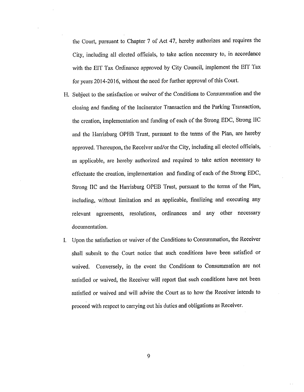the Court, pursuant to Chapter 7 of Act 47, hereby authorizes and requires the City, including all elected officials, to take action necessary to, in accordance with the Err Tax Ordinance approved by City Council, implement the BIT Tax for years 2014-2016, without the need for further approval of this Court.

- H. Subject to the satisfaction or waiver of the Conditions to Consummation and the closing and funding of the Incinerator Transaction and the Parking Transaction, the creation, implementation and funding of each of the Strong EDC, Strong !IC and the Harrisburg OPEB Trust, pursuant to the terms of the Plan, are hereby approved. Thereupon, the Receiver and/or the City, including all elected officials, as applicable, are hereby authorized and required to take action necessary to effectuate the creation, implementation and funding of each of the Strong EDC, Strong IIC and the Harrisburg OPEB Trust, pursuant to the terms of the Plan, including, without limitation and as applicable, finalizing and executing any relevant agreements, resolutions, ordinances and any other necessary documentation.
- I. Upon the satisfaction or waiver of the Conditions to Consummation, the Receiver shall submit to the Court notice that such conditions have been satisfied or waived. Conversely, in the event the Conditions to Consummation are not satisfied or waived, the Receiver will report that such conditions have not been satisfied or waived and will advise the Court as to how the Receiver intends to proceed with respect to carrying out his duties and obligations as Receiver.